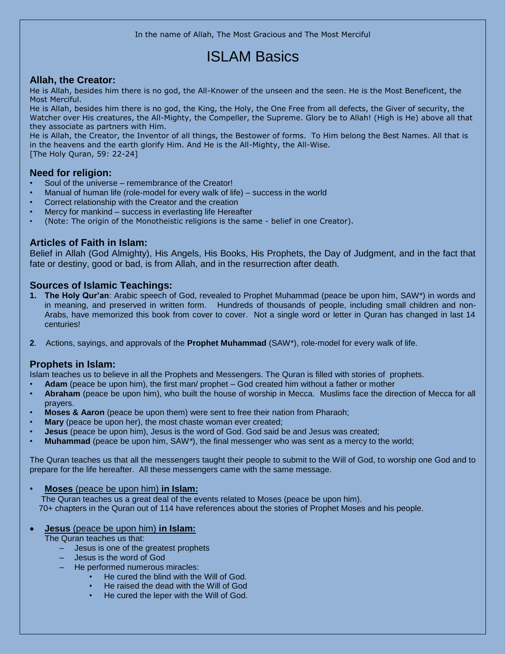In the name of Allah, The Most Gracious and The Most Merciful

# ISLAM Basics

## **Allah, the Creator:**

He is Allah, besides him there is no god, the All-Knower of the unseen and the seen. He is the Most Beneficent, the Most Merciful.

He is Allah, besides him there is no god, the King, the Holy, the One Free from all defects, the Giver of security, the Watcher over His creatures, the All-Mighty, the Compeller, the Supreme. Glory be to Allah! (High is He) above all that they associate as partners with Him.

He is Allah, the Creator, the Inventor of all things, the Bestower of forms. To Him belong the Best Names. All that is in the heavens and the earth glorify Him. And He is the All-Mighty, the All-Wise. [The Holy Quran, 59: 22-24]

## **Need for religion:**

- Soul of the universe remembrance of the Creator!
- Manual of human life (role-model for every walk of life) success in the world
- Correct relationship with the Creator and the creation
- Mercy for mankind success in everlasting life Hereafter
- (Note: The origin of the Monotheistic religions is the same belief in one Creator).

# **Articles of Faith in Islam:**

Belief in Allah (God Almighty), His Angels, His Books, His Prophets, the Day of Judgment, and in the fact that fate or destiny, good or bad, is from Allah, and in the resurrection after death.

## **Sources of Islamic Teachings:**

- **1. The Holy Qur'an**: Arabic speech of God, revealed to Prophet Muhammad (peace be upon him, SAW\*) in words and in meaning, and preserved in written form. Hundreds of thousands of people, including small children and non-Arabs, have memorized this book from cover to cover. Not a single word or letter in Quran has changed in last 14 centuries!
- **2**. Actions, sayings, and approvals of the **Prophet Muhammad** (SAW\*), role-model for every walk of life.

# **Prophets in Islam:**

Islam teaches us to believe in all the Prophets and Messengers. The Quran is filled with stories of prophets.

- **Adam** (peace be upon him), the first man/ prophet God created him without a father or mother
- **Abraham** (peace be upon him), who built the house of worship in Mecca. Muslims face the direction of Mecca for all prayers.
- **Moses & Aaron** (peace be upon them) were sent to free their nation from Pharaoh;
- **Mary** (peace be upon her), the most chaste woman ever created;
- **Jesus** (peace be upon him), Jesus is the word of God. God said be and Jesus was created;
- **Muhammad** (peace be upon him, SAW*\**), the final messenger who was sent as a mercy to the world;

The Quran teaches us that all the messengers taught their people to submit to the Will of God, to worship one God and to prepare for the life hereafter. All these messengers came with the same message.

• **Moses** (peace be upon him) **in Islam:**

The Quran teaches us a great deal of the events related to Moses (peace be upon him). 70+ chapters in the Quran out of 114 have references about the stories of Prophet Moses and his people.

#### **Jesus** (peace be upon him) **in Islam:**

The Quran teaches us that:

- Jesus is one of the greatest prophets
- Jesus is the word of God
	- He performed numerous miracles:
		- He cured the blind with the Will of God.
		- He raised the dead with the Will of God
		- He cured the leper with the Will of God.